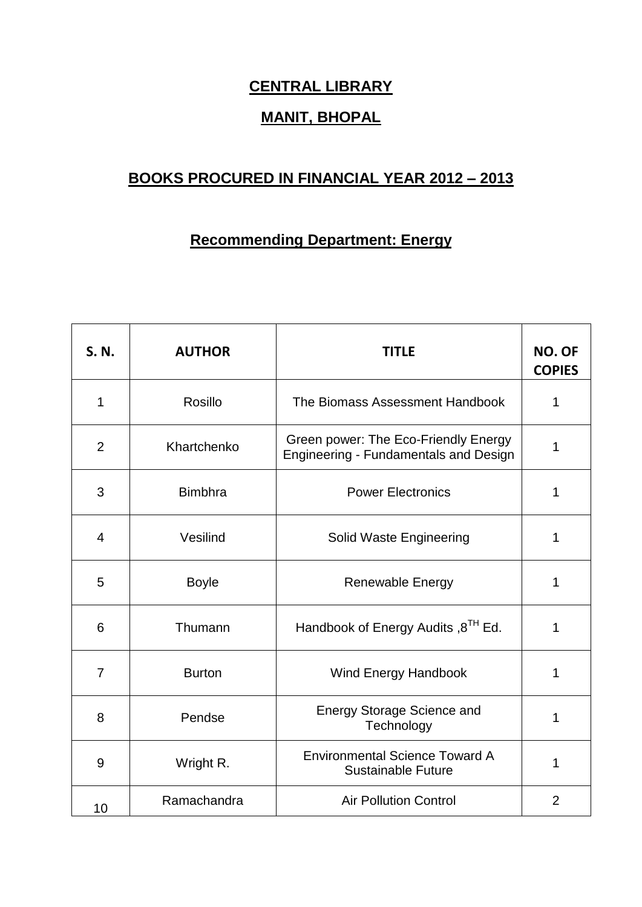## **CENTRAL LIBRARY**

## **MANIT, BHOPAL**

## **BOOKS PROCURED IN FINANCIAL YEAR 2012 – 2013**

## **Recommending Department: Energy**

| S. N.          | <b>AUTHOR</b>  | <b>TITLE</b>                                                                  | NO. OF<br><b>COPIES</b> |
|----------------|----------------|-------------------------------------------------------------------------------|-------------------------|
| 1              | Rosillo        | The Biomass Assessment Handbook                                               | 1                       |
| $\overline{2}$ | Khartchenko    | Green power: The Eco-Friendly Energy<br>Engineering - Fundamentals and Design | 1                       |
| 3              | <b>Bimbhra</b> | <b>Power Electronics</b>                                                      | 1                       |
| $\overline{4}$ | Vesilind       | Solid Waste Engineering                                                       | 1                       |
| 5              | <b>Boyle</b>   | Renewable Energy                                                              | 1                       |
| 6              | Thumann        | Handbook of Energy Audits, 8 <sup>TH</sup> Ed.                                | 1                       |
| $\overline{7}$ | <b>Burton</b>  | <b>Wind Energy Handbook</b>                                                   | 1                       |
| 8              | Pendse         | <b>Energy Storage Science and</b><br>Technology                               | 1                       |
| 9              | Wright R.      | <b>Environmental Science Toward A</b><br><b>Sustainable Future</b>            | 1                       |
| 10             | Ramachandra    | <b>Air Pollution Control</b>                                                  | $\overline{2}$          |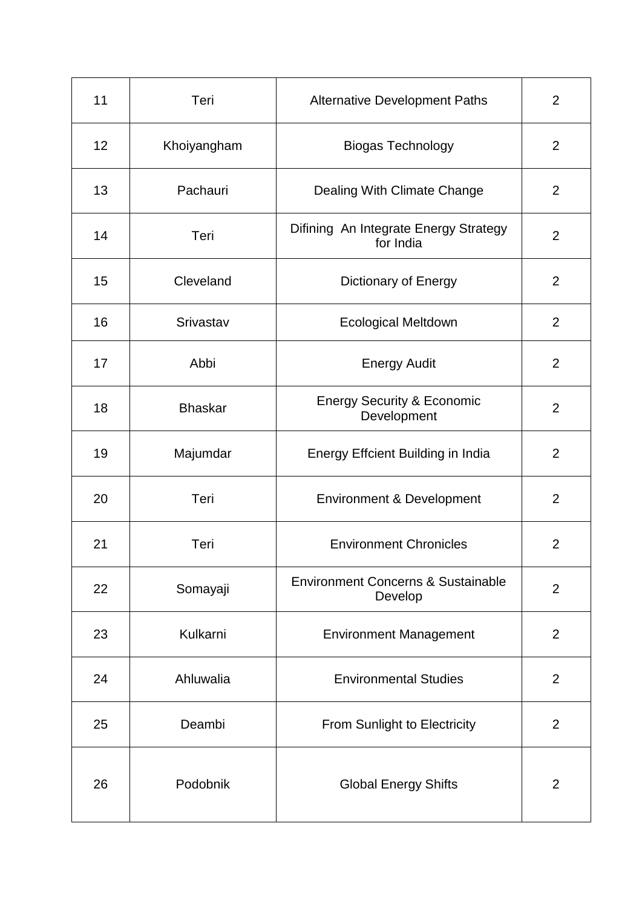| 11 | Teri           | <b>Alternative Development Paths</b>                     | $\overline{2}$ |
|----|----------------|----------------------------------------------------------|----------------|
| 12 | Khoiyangham    | <b>Biogas Technology</b>                                 | $\overline{2}$ |
| 13 | Pachauri       | Dealing With Climate Change                              | $\overline{2}$ |
| 14 | Teri           | Difining An Integrate Energy Strategy<br>for India       | $\overline{2}$ |
| 15 | Cleveland      | Dictionary of Energy                                     | $\overline{2}$ |
| 16 | Srivastav      | <b>Ecological Meltdown</b>                               | $\overline{2}$ |
| 17 | Abbi           | <b>Energy Audit</b>                                      | $\overline{2}$ |
| 18 | <b>Bhaskar</b> | <b>Energy Security &amp; Economic</b><br>Development     | $\overline{2}$ |
| 19 | Majumdar       | Energy Effcient Building in India                        | $\overline{2}$ |
| 20 | Teri           | <b>Environment &amp; Development</b>                     | $\overline{2}$ |
| 21 | Teri           | <b>Environment Chronicles</b>                            | $\overline{2}$ |
| 22 | Somayaji       | <b>Environment Concerns &amp; Sustainable</b><br>Develop | $\overline{2}$ |
| 23 | Kulkarni       | <b>Environment Management</b>                            | $\overline{2}$ |
| 24 | Ahluwalia      | <b>Environmental Studies</b>                             | 2              |
| 25 | Deambi         | From Sunlight to Electricity                             | $\overline{2}$ |
| 26 | Podobnik       | <b>Global Energy Shifts</b>                              | $\overline{2}$ |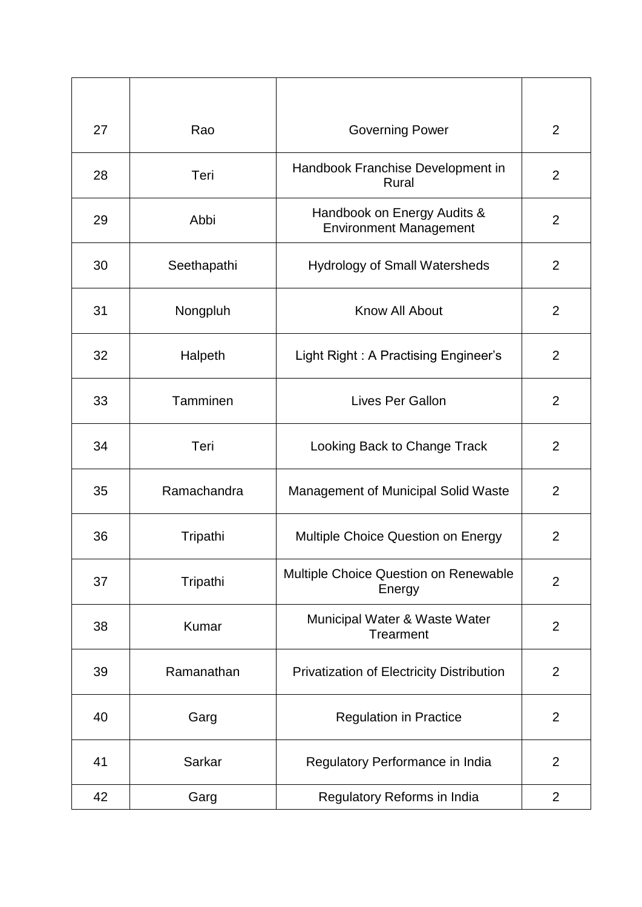| 27 | Rao         | <b>Governing Power</b>                                       | $\overline{2}$ |
|----|-------------|--------------------------------------------------------------|----------------|
| 28 | Teri        | Handbook Franchise Development in<br>Rural                   | $\overline{2}$ |
| 29 | Abbi        | Handbook on Energy Audits &<br><b>Environment Management</b> | $\overline{2}$ |
| 30 | Seethapathi | <b>Hydrology of Small Watersheds</b>                         | $\overline{2}$ |
| 31 | Nongpluh    | Know All About                                               | $\overline{2}$ |
| 32 | Halpeth     | Light Right: A Practising Engineer's                         | $\overline{2}$ |
| 33 | Tamminen    | <b>Lives Per Gallon</b>                                      | $\overline{2}$ |
| 34 | Teri        | Looking Back to Change Track                                 | $\overline{2}$ |
| 35 | Ramachandra | Management of Municipal Solid Waste                          | $\overline{2}$ |
| 36 | Tripathi    | Multiple Choice Question on Energy                           | $\overline{2}$ |
| 37 | Tripathi    | Multiple Choice Question on Renewable<br>Energy              | $\overline{2}$ |
| 38 | Kumar       | Municipal Water & Waste Water<br>Trearment                   | $\overline{2}$ |
| 39 | Ramanathan  | <b>Privatization of Electricity Distribution</b>             | $\overline{2}$ |
| 40 | Garg        | <b>Regulation in Practice</b>                                | $\overline{2}$ |
| 41 | Sarkar      | Regulatory Performance in India                              | $\overline{2}$ |
| 42 | Garg        | Regulatory Reforms in India                                  | $\overline{2}$ |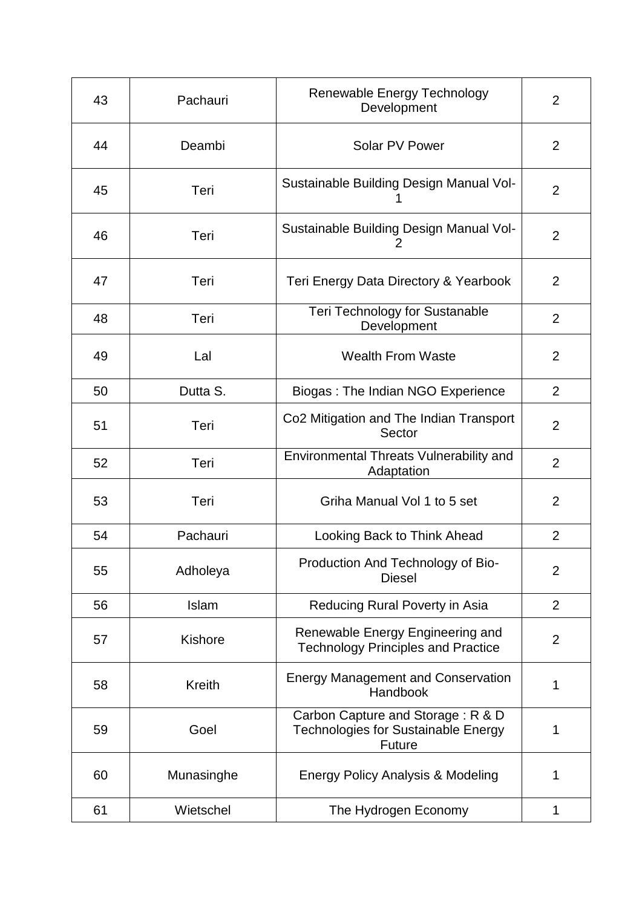| 43 | Pachauri      | Renewable Energy Technology<br>Development                                                | 2              |
|----|---------------|-------------------------------------------------------------------------------------------|----------------|
| 44 | Deambi        | Solar PV Power                                                                            | 2              |
| 45 | Teri          | Sustainable Building Design Manual Vol-                                                   | $\overline{2}$ |
| 46 | Teri          | Sustainable Building Design Manual Vol-<br>2                                              | $\overline{2}$ |
| 47 | Teri          | Teri Energy Data Directory & Yearbook                                                     | 2              |
| 48 | Teri          | Teri Technology for Sustanable<br>Development                                             | $\overline{2}$ |
| 49 | Lal           | <b>Wealth From Waste</b>                                                                  | $\overline{2}$ |
| 50 | Dutta S.      | Biogas: The Indian NGO Experience                                                         | $\overline{2}$ |
| 51 | Teri          | Co2 Mitigation and The Indian Transport<br>Sector                                         | 2              |
| 52 | Teri          | Environmental Threats Vulnerability and<br>Adaptation                                     | $\overline{2}$ |
| 53 | Teri          | Griha Manual Vol 1 to 5 set                                                               | 2              |
| 54 | Pachauri      | Looking Back to Think Ahead                                                               | $\overline{2}$ |
| 55 | Adholeya      | Production And Technology of Bio-<br><b>Diesel</b>                                        | $\overline{2}$ |
| 56 | Islam         | Reducing Rural Poverty in Asia                                                            | $\overline{2}$ |
| 57 | Kishore       | Renewable Energy Engineering and<br><b>Technology Principles and Practice</b>             | $\overline{2}$ |
| 58 | <b>Kreith</b> | <b>Energy Management and Conservation</b><br>Handbook                                     | 1              |
| 59 | Goel          | Carbon Capture and Storage: R & D<br>Technologies for Sustainable Energy<br><b>Future</b> | 1              |
| 60 | Munasinghe    | Energy Policy Analysis & Modeling                                                         | 1              |
| 61 | Wietschel     | The Hydrogen Economy                                                                      | 1              |